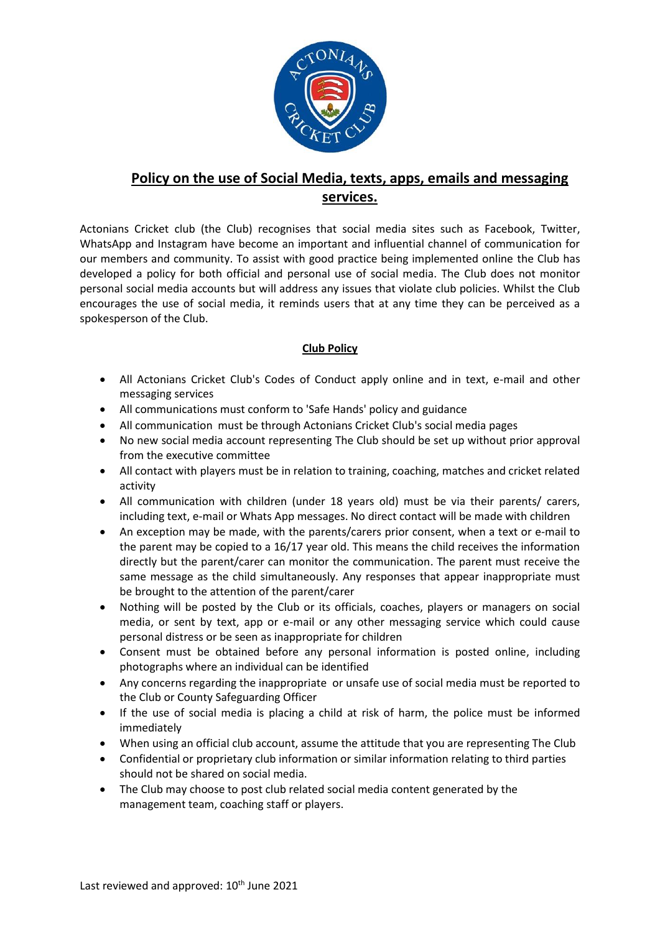

## **Policy on the use of Social Media, texts, apps, emails and messaging services.**

Actonians Cricket club (the Club) recognises that social media sites such as Facebook, Twitter, WhatsApp and Instagram have become an important and influential channel of communication for our members and community. To assist with good practice being implemented online the Club has developed a policy for both official and personal use of social media. The Club does not monitor personal social media accounts but will address any issues that violate club policies. Whilst the Club encourages the use of social media, it reminds users that at any time they can be perceived as a spokesperson of the Club.

## **Club Policy**

- All Actonians Cricket Club's Codes of Conduct apply online and in text, e-mail and other messaging services
- All communications must conform to 'Safe Hands' policy and guidance
- All communication must be through Actonians Cricket Club's social media pages
- No new social media account representing The Club should be set up without prior approval from the executive committee
- All contact with players must be in relation to training, coaching, matches and cricket related activity
- All communication with children (under 18 years old) must be via their parents/ carers, including text, e-mail or Whats App messages. No direct contact will be made with children
- An exception may be made, with the parents/carers prior consent, when a text or e-mail to the parent may be copied to a 16/17 year old. This means the child receives the information directly but the parent/carer can monitor the communication. The parent must receive the same message as the child simultaneously. Any responses that appear inappropriate must be brought to the attention of the parent/carer
- Nothing will be posted by the Club or its officials, coaches, players or managers on social media, or sent by text, app or e-mail or any other messaging service which could cause personal distress or be seen as inappropriate for children
- Consent must be obtained before any personal information is posted online, including photographs where an individual can be identified
- Any concerns regarding the inappropriate or unsafe use of social media must be reported to the Club or County Safeguarding Officer
- If the use of social media is placing a child at risk of harm, the police must be informed immediately
- When using an official club account, assume the attitude that you are representing The Club
- Confidential or proprietary club information or similar information relating to third parties should not be shared on social media.
- The Club may choose to post club related social media content generated by the management team, coaching staff or players.